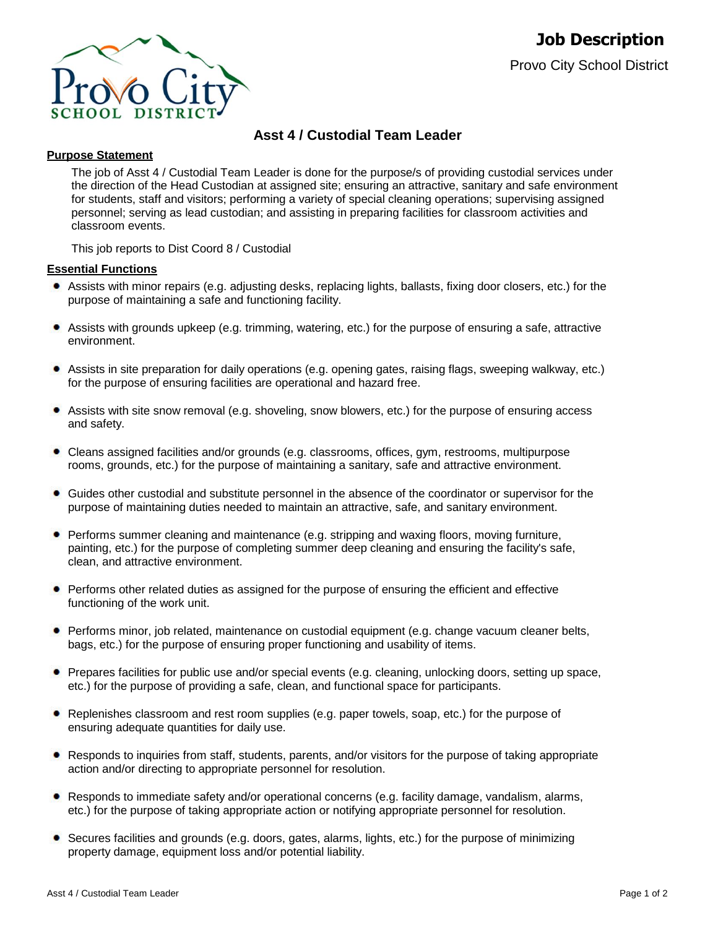

# **Asst 4 / Custodial Team Leader**

# **Purpose Statement**

The job of Asst 4 / Custodial Team Leader is done for the purpose/s of providing custodial services under the direction of the Head Custodian at assigned site; ensuring an attractive, sanitary and safe environment for students, staff and visitors; performing a variety of special cleaning operations; supervising assigned personnel; serving as lead custodian; and assisting in preparing facilities for classroom activities and classroom events.

This job reports to Dist Coord 8 / Custodial

# **Essential Functions**

- Assists with minor repairs (e.g. adjusting desks, replacing lights, ballasts, fixing door closers, etc.) for the purpose of maintaining a safe and functioning facility.
- Assists with grounds upkeep (e.g. trimming, watering, etc.) for the purpose of ensuring a safe, attractive environment.
- Assists in site preparation for daily operations (e.g. opening gates, raising flags, sweeping walkway, etc.) for the purpose of ensuring facilities are operational and hazard free.
- Assists with site snow removal (e.g. shoveling, snow blowers, etc.) for the purpose of ensuring access and safety.
- Cleans assigned facilities and/or grounds (e.g. classrooms, offices, gym, restrooms, multipurpose rooms, grounds, etc.) for the purpose of maintaining a sanitary, safe and attractive environment.
- Guides other custodial and substitute personnel in the absence of the coordinator or supervisor for the purpose of maintaining duties needed to maintain an attractive, safe, and sanitary environment.
- **Performs summer cleaning and maintenance (e.g. stripping and waxing floors, moving furniture,** painting, etc.) for the purpose of completing summer deep cleaning and ensuring the facility's safe, clean, and attractive environment.
- Performs other related duties as assigned for the purpose of ensuring the efficient and effective functioning of the work unit.
- Performs minor, job related, maintenance on custodial equipment (e.g. change vacuum cleaner belts, bags, etc.) for the purpose of ensuring proper functioning and usability of items.
- Prepares facilities for public use and/or special events (e.g. cleaning, unlocking doors, setting up space, etc.) for the purpose of providing a safe, clean, and functional space for participants.
- Replenishes classroom and rest room supplies (e.g. paper towels, soap, etc.) for the purpose of ensuring adequate quantities for daily use.
- Responds to inquiries from staff, students, parents, and/or visitors for the purpose of taking appropriate action and/or directing to appropriate personnel for resolution.
- Responds to immediate safety and/or operational concerns (e.g. facility damage, vandalism, alarms, etc.) for the purpose of taking appropriate action or notifying appropriate personnel for resolution.
- Secures facilities and grounds (e.g. doors, gates, alarms, lights, etc.) for the purpose of minimizing property damage, equipment loss and/or potential liability.